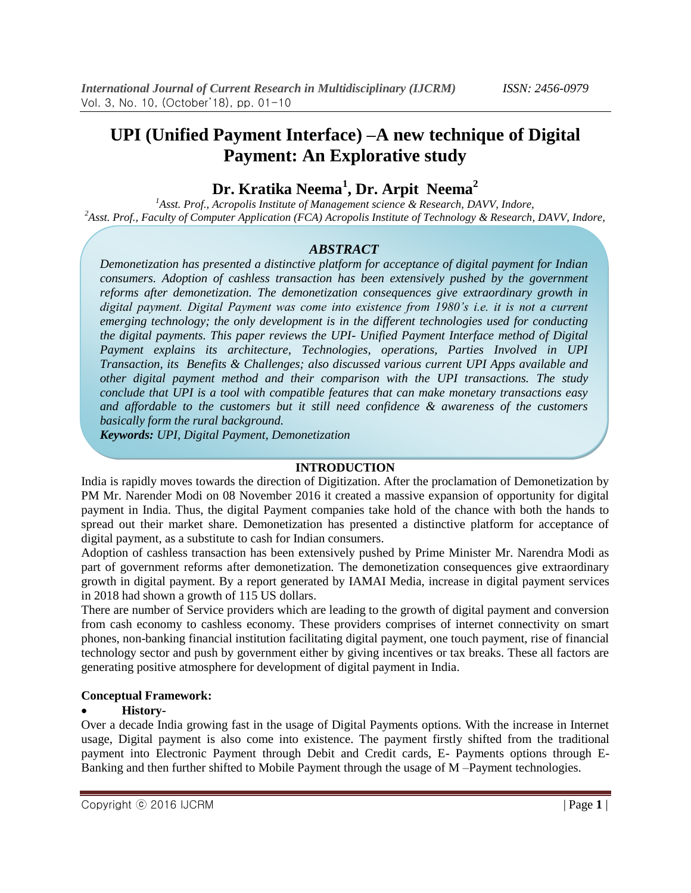# **UPI (Unified Payment Interface) –A new technique of Digital Payment: An Explorative study**

# **Dr. Kratika Neema<sup>1</sup> , Dr. Arpit Neema<sup>2</sup>**

<sup>1</sup>Asst. Prof., Acropolis Institute of Management science & Research, DAVV, Indore, *<sup>2</sup>Asst. Prof., Faculty of Computer Application (FCA) Acropolis Institute of Technology & Research, DAVV, Indore,* 

## *ABSTRACT*

*Demonetization has presented a distinctive platform for acceptance of digital payment for Indian consumers. Adoption of cashless transaction has been extensively pushed by the government reforms after demonetization. The demonetization consequences give extraordinary growth in digital payment. Digital Payment was come into existence from 1980's i.e. it is not a current emerging technology; the only development is in the different technologies used for conducting the digital payments. This paper reviews the UPI- Unified Payment Interface method of Digital Payment explains its architecture, Technologies, operations, Parties Involved in UPI Transaction, its Benefits & Challenges; also discussed various current UPI Apps available and other digital payment method and their comparison with the UPI transactions. The study conclude that UPI is a tool with compatible features that can make monetary transactions easy and affordable to the customers but it still need confidence & awareness of the customers basically form the rural background.*

*Keywords: UPI, Digital Payment, Demonetization*

## **INTRODUCTION**

India is rapidly moves towards the direction of Digitization. After the proclamation of Demonetization by PM Mr. Narender Modi on 08 November 2016 it created a massive expansion of opportunity for digital payment in India. Thus, the digital Payment companies take hold of the chance with both the hands to spread out their market share. Demonetization has presented a distinctive platform for acceptance of digital payment, as a substitute to cash for Indian consumers.

Adoption of cashless transaction has been extensively pushed by Prime Minister Mr. Narendra Modi as part of government reforms after demonetization. The demonetization consequences give extraordinary growth in digital payment. By a report generated by IAMAI Media, increase in digital payment services in 2018 had shown a growth of 115 US dollars.

There are number of Service providers which are leading to the growth of digital payment and conversion from cash economy to cashless economy. These providers comprises of internet connectivity on smart phones, non-banking financial institution facilitating digital payment, one touch payment, rise of financial technology sector and push by government either by giving incentives or tax breaks. These all factors are generating positive atmosphere for development of digital payment in India.

#### **Conceptual Framework:**

## **History-**

Over a decade India growing fast in the usage of Digital Payments options. With the increase in Internet usage, Digital payment is also come into existence. The payment firstly shifted from the traditional payment into Electronic Payment through Debit and Credit cards, E- Payments options through E-Banking and then further shifted to Mobile Payment through the usage of M –Payment technologies.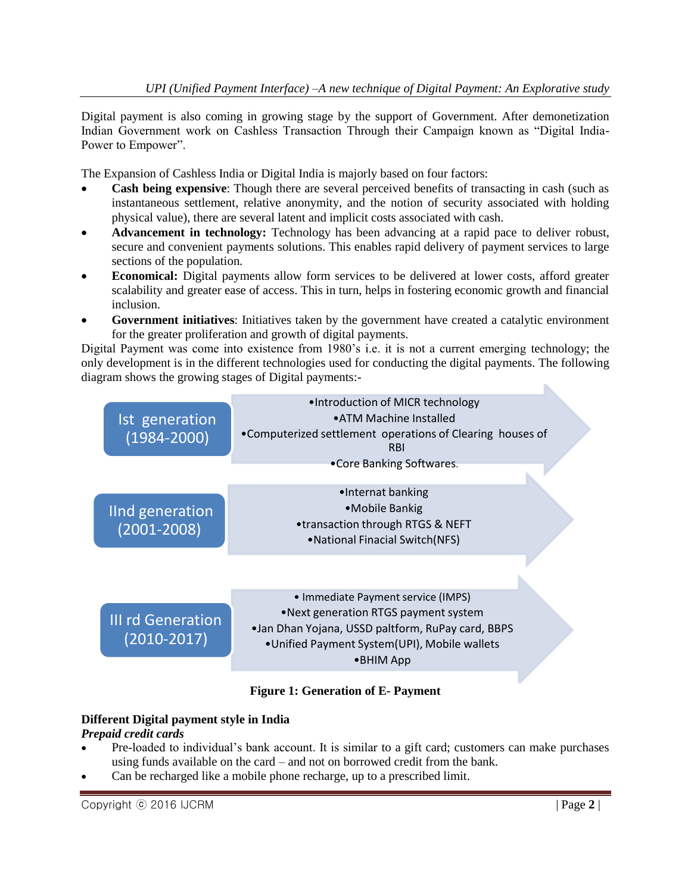Digital payment is also coming in growing stage by the support of Government. After demonetization Indian Government work on Cashless Transaction Through their Campaign known as "Digital India-Power to Empower".

The Expansion of Cashless India or Digital India is majorly based on four factors:

- **Cash being expensive**: Though there are several perceived benefits of transacting in cash (such as instantaneous settlement, relative anonymity, and the notion of security associated with holding physical value), there are several latent and implicit costs associated with cash.
- **Advancement in technology:** Technology has been advancing at a rapid pace to deliver robust, secure and convenient payments solutions. This enables rapid delivery of payment services to large sections of the population.
- **Economical:** Digital payments allow form services to be delivered at lower costs, afford greater scalability and greater ease of access. This in turn, helps in fostering economic growth and financial inclusion.
- **Government initiatives**: Initiatives taken by the government have created a catalytic environment for the greater proliferation and growth of digital payments.

Digital Payment was come into existence from 1980's i.e. it is not a current emerging technology; the only development is in the different technologies used for conducting the digital payments. The following diagram shows the growing stages of Digital payments:-



# **Figure 1: Generation of E- Payment**

# **Different Digital payment style in India**

# *Prepaid credit cards*

- Pre-loaded to individual's bank account. It is similar to a gift card; customers can make purchases using funds available on the card – and not on borrowed credit from the bank.
- Can be recharged like a mobile phone recharge, up to a prescribed limit.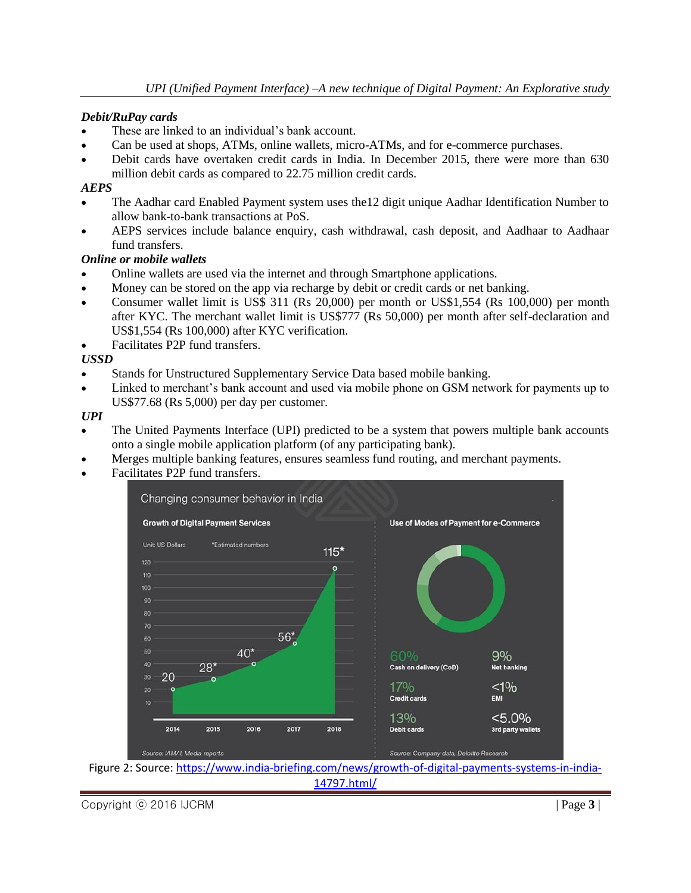#### *Debit/RuPay cards*

- These are linked to an individual's bank account.
- Can be used at shops, ATMs, online wallets, micro-ATMs, and for e-commerce purchases.
- Debit cards have overtaken credit cards in India. In December 2015, there were more than 630 million debit cards as compared to 22.75 million credit cards.

#### *AEPS*

- The Aadhar card Enabled Payment system uses the12 digit unique Aadhar Identification Number to allow bank-to-bank transactions at PoS.
- AEPS services include balance enquiry, cash withdrawal, cash deposit, and Aadhaar to Aadhaar fund transfers.

#### *Online or mobile wallets*

- Online wallets are used via the internet and through Smartphone applications.
- Money can be stored on the app via recharge by debit or credit cards or net banking.
- Consumer wallet limit is US\$ 311 (Rs 20,000) per month or US\$1,554 (Rs 100,000) per month after KYC. The merchant wallet limit is US\$777 (Rs 50,000) per month after self-declaration and US\$1,554 (Rs 100,000) after KYC verification.
- Facilitates P2P fund transfers.

## *USSD*

- Stands for Unstructured Supplementary Service Data based mobile banking.
- Linked to merchant's bank account and used via mobile phone on GSM network for payments up to US\$77.68 (Rs 5,000) per day per customer.

*UPI*

- The United Payments Interface (UPI) predicted to be a system that powers multiple bank accounts onto a single mobile application platform (of any participating bank).
- Merges multiple banking features, ensures seamless fund routing, and merchant payments.
- Facilitates P2P fund transfers.



Figure 2: Source: [https://www.india-briefing.com/news/growth-of-digital-payments-systems-in-india-](https://www.india-briefing.com/news/growth-of-digital-payments-systems-in-india-14797.html/)[14797.html/](https://www.india-briefing.com/news/growth-of-digital-payments-systems-in-india-14797.html/)

Copyright ⓒ 2016 IJCRM | Page **3** |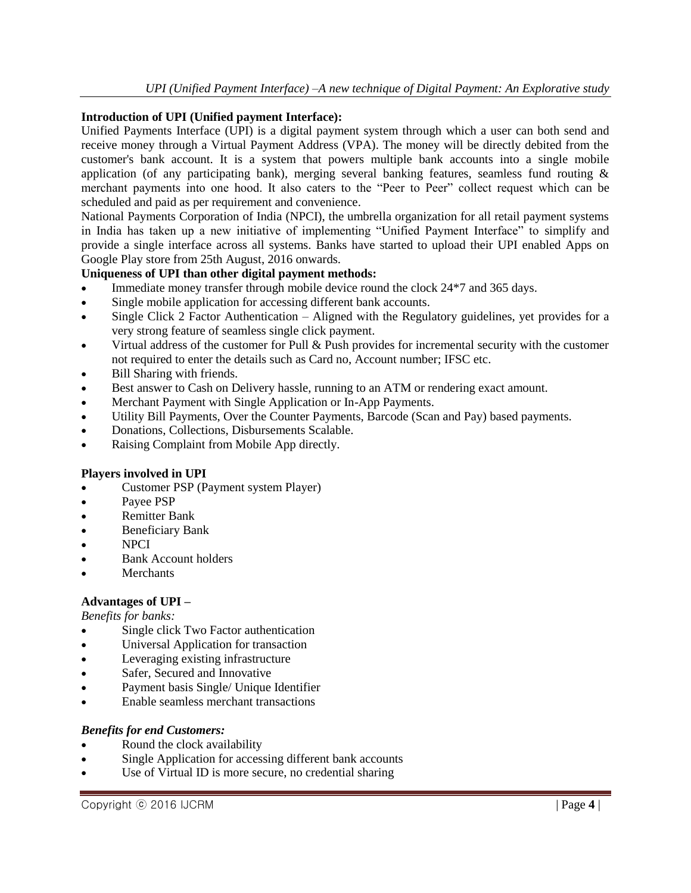#### **Introduction of UPI (Unified payment Interface):**

Unified Payments Interface (UPI) is a digital payment system through which a user can both send and receive money through a Virtual Payment Address (VPA). The money will be directly debited from the customer's bank account. It is a system that powers multiple bank accounts into a single mobile application (of any participating bank), merging several banking features, seamless fund routing & merchant payments into one hood. It also caters to the "Peer to Peer" collect request which can be scheduled and paid as per requirement and convenience.

National Payments Corporation of India (NPCI), the umbrella organization for all retail payment systems in India has taken up a new initiative of implementing "Unified Payment Interface" to simplify and provide a single interface across all systems. Banks have started to upload their UPI enabled Apps on Google Play store from 25th August, 2016 onwards.

## **Uniqueness of UPI than other digital payment methods:**

- Immediate money transfer through mobile device round the clock 24\*7 and 365 days.
- Single mobile application for accessing different bank accounts.
- Single Click 2 Factor Authentication Aligned with the Regulatory guidelines, yet provides for a very strong feature of seamless single click payment.
- Virtual address of the customer for Pull & Push provides for incremental security with the customer not required to enter the details such as Card no, Account number; IFSC etc.
- Bill Sharing with friends.
- Best answer to Cash on Delivery hassle, running to an ATM or rendering exact amount.
- Merchant Payment with Single Application or In-App Payments.
- Utility Bill Payments, Over the Counter Payments, Barcode (Scan and Pay) based payments.
- Donations, Collections, Disbursements Scalable.
- Raising Complaint from Mobile App directly.

## **Players involved in UPI**

- Customer PSP (Payment system Player)
- Payee PSP
- Remitter Bank
- Beneficiary Bank
- NPCI
- Bank Account holders
- **Merchants**

## **Advantages of UPI –**

*Benefits for banks:*

- Single click Two Factor authentication
- Universal Application for transaction
- Leveraging existing infrastructure
- Safer, Secured and Innovative
- Payment basis Single/ Unique Identifier
- Enable seamless merchant transactions

#### *Benefits for end Customers:*

- Round the clock availability
- Single Application for accessing different bank accounts
- Use of Virtual ID is more secure, no credential sharing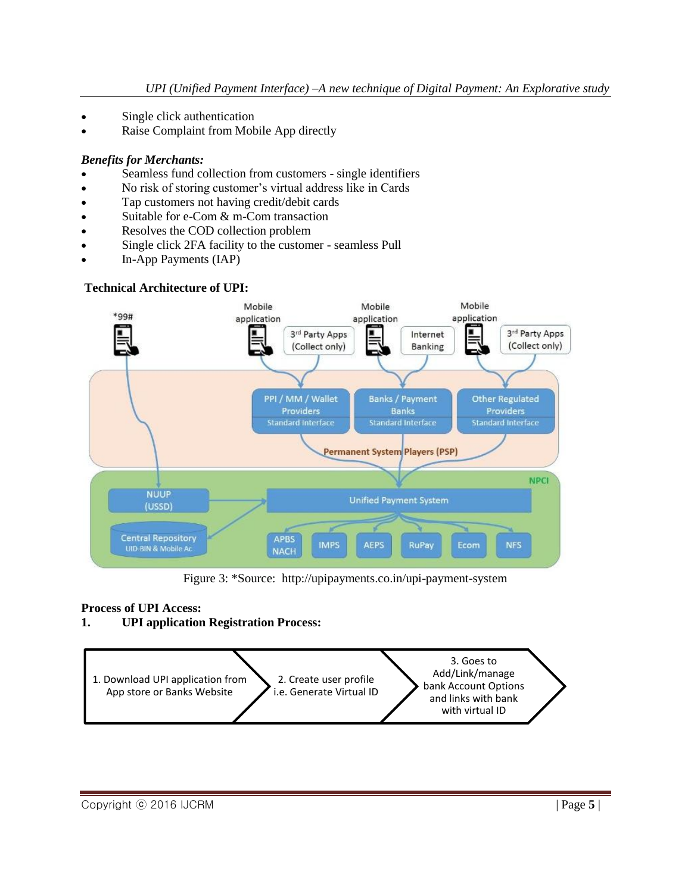- Single click authentication
- Raise Complaint from Mobile App directly

## *Benefits for Merchants:*

- Seamless fund collection from customers single identifiers
- No risk of storing customer's virtual address like in Cards
- Tap customers not having credit/debit cards
- Suitable for e-Com & m-Com transaction
- Resolves the COD collection problem
- Single click 2FA facility to the customer seamless Pull
- In-App Payments (IAP)

## **Technical Architecture of UPI:**



Figure 3: \*Source: http://upipayments.co.in/upi-payment-system

# **Process of UPI Access:**

# **1. UPI application Registration Process:**

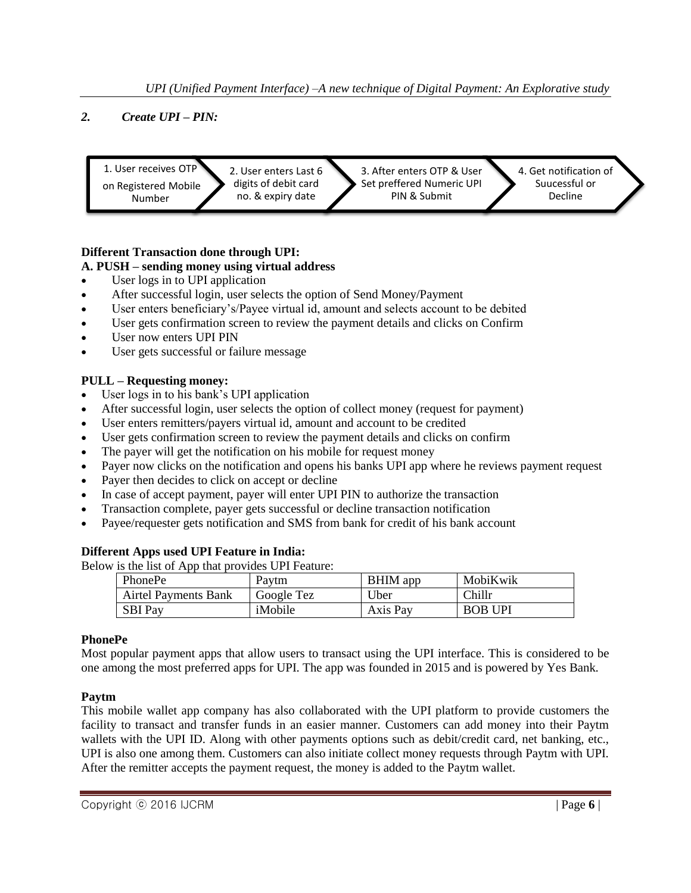*UPI (Unified Payment Interface) –A new technique of Digital Payment: An Explorative study*

## *2. Create UPI – PIN:*



## **Different Transaction done through UPI:**

## **A. PUSH – sending money using virtual address**

- User logs in to UPI application
- After successful login, user selects the option of Send Money/Payment
- User enters beneficiary's/Payee virtual id, amount and selects account to be debited
- User gets confirmation screen to review the payment details and clicks on Confirm
- User now enters UPI PIN
- User gets successful or failure message

## **PULL – Requesting money:**

- User logs in to his bank's UPI application
- After successful login, user selects the option of collect money (request for payment)
- User enters remitters/payers virtual id, amount and account to be credited
- User gets confirmation screen to review the payment details and clicks on confirm
- The payer will get the notification on his mobile for request money
- Payer now clicks on the notification and opens his banks UPI app where he reviews payment request
- Payer then decides to click on accept or decline
- In case of accept payment, payer will enter UPI PIN to authorize the transaction
- Transaction complete, payer gets successful or decline transaction notification
- Payee/requester gets notification and SMS from bank for credit of his bank account

## **Different Apps used UPI Feature in India:**

Below is the list of App that provides UPI Feature:

| PhonePe                     | Pavtm      | BHIM app    | MobiKwik           |  |
|-----------------------------|------------|-------------|--------------------|--|
| <b>Airtel Payments Bank</b> | Google Tez | <b>Jber</b> | <sup>n</sup> hillr |  |
| SBI Pav                     | iMobile    | Axis Pay    | <b>BOB UPI</b>     |  |

#### **PhonePe**

Most popular payment apps that allow users to transact using the UPI interface. This is considered to be one among the most preferred apps for UPI. The app was founded in 2015 and is powered by Yes Bank.

## **Paytm**

This mobile wallet app company has also collaborated with the UPI platform to provide customers the facility to transact and transfer funds in an easier manner. Customers can add money into their Paytm wallets with the UPI ID. Along with other payments options such as debit/credit card, net banking, etc., UPI is also one among them. Customers can also initiate collect money requests through Paytm with UPI. After the remitter accepts the payment request, the money is added to the Paytm wallet.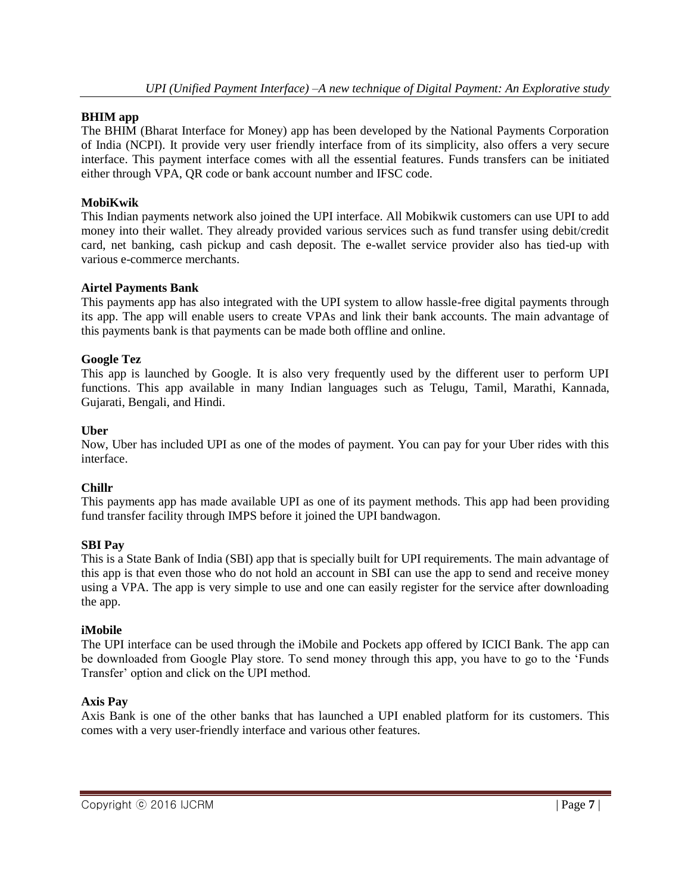#### **BHIM app**

The BHIM (Bharat Interface for Money) app has been developed by the National Payments Corporation of India (NCPI). It provide very user friendly interface from of its simplicity, also offers a very secure interface. This payment interface comes with all the essential features. Funds transfers can be initiated either through VPA, QR code or bank account number and IFSC code.

## **MobiKwik**

This Indian payments network also joined the UPI interface. All Mobikwik customers can use UPI to add money into their wallet. They already provided various services such as fund transfer using debit/credit card, net banking, cash pickup and cash deposit. The e-wallet service provider also has tied-up with various e-commerce merchants.

#### **Airtel Payments Bank**

This payments app has also integrated with the UPI system to allow hassle-free digital payments through its app. The app will enable users to create VPAs and link their bank accounts. The main advantage of this payments bank is that payments can be made both offline and online.

#### **Google Tez**

This app is launched by Google. It is also very frequently used by the different user to perform UPI functions. This app available in many Indian languages such as Telugu, Tamil, Marathi, Kannada, Gujarati, Bengali, and Hindi.

#### **Uber**

Now, Uber has included UPI as one of the modes of payment. You can pay for your Uber rides with this interface.

#### **Chillr**

This payments app has made available UPI as one of its payment methods. This app had been providing fund transfer facility through IMPS before it joined the UPI bandwagon.

#### **SBI Pay**

This is a State Bank of India (SBI) app that is specially built for UPI requirements. The main advantage of this app is that even those who do not hold an account in SBI can use the app to send and receive money using a VPA. The app is very simple to use and one can easily register for the service after downloading the app.

#### **iMobile**

The UPI interface can be used through the iMobile and Pockets app offered by ICICI Bank. The app can be downloaded from Google Play store. To send money through this app, you have to go to the 'Funds' Transfer' option and click on the UPI method.

#### **Axis Pay**

Axis Bank is one of the other banks that has launched a UPI enabled platform for its customers. This comes with a very user-friendly interface and various other features.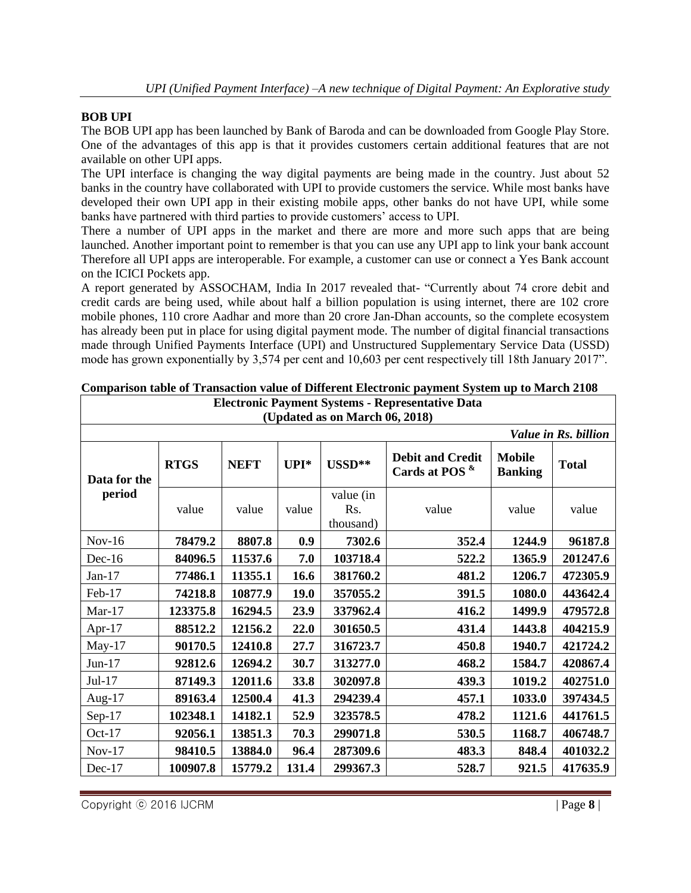## **BOB UPI**

The BOB UPI app has been launched by Bank of Baroda and can be downloaded from Google Play Store. One of the advantages of this app is that it provides customers certain additional features that are not available on other UPI apps.

The UPI interface is changing the way digital payments are being made in the country. Just about 52 banks in the country have collaborated with UPI to provide customers the service. While most banks have developed their own UPI app in their existing mobile apps, other banks do not have UPI, while some banks have partnered with third parties to provide customers' access to UPI.

There a number of UPI apps in the market and there are more and more such apps that are being launched. Another important point to remember is that you can use any UPI app to link your bank account Therefore all UPI apps are interoperable. For example, a customer can use or connect a Yes Bank account on the ICICI Pockets app.

A report generated by ASSOCHAM, India In 2017 revealed that- "Currently about 74 crore debit and credit cards are being used, while about half a billion population is using internet, there are 102 crore mobile phones, 110 crore Aadhar and more than 20 crore Jan-Dhan accounts, so the complete ecosystem has already been put in place for using digital payment mode. The number of digital financial transactions made through Unified Payments Interface (UPI) and Unstructured Supplementary Service Data (USSD) mode has grown exponentially by 3,574 per cent and 10,603 per cent respectively till 18th January 2017".

| <b>Electronic Payment Systems - Representative Data</b><br>(Updated as on March 06, 2018) |             |             |             |                               |                                                  |                                 |              |  |  |  |
|-------------------------------------------------------------------------------------------|-------------|-------------|-------------|-------------------------------|--------------------------------------------------|---------------------------------|--------------|--|--|--|
| Value in Rs. billion                                                                      |             |             |             |                               |                                                  |                                 |              |  |  |  |
| Data for the                                                                              | <b>RTGS</b> | <b>NEFT</b> | $UPI^*$     | $\text{USSD}^{**}$            | <b>Debit and Credit</b><br>Cards at POS $\kappa$ | <b>Mobile</b><br><b>Banking</b> | <b>Total</b> |  |  |  |
| period                                                                                    | value       | value       | value       | value (in<br>Rs.<br>thousand) | value                                            | value                           | value        |  |  |  |
| $Nov-16$                                                                                  | 78479.2     | 8807.8      | 0.9         | 7302.6                        | 352.4                                            | 1244.9                          | 96187.8      |  |  |  |
| $Dec-16$                                                                                  | 84096.5     | 11537.6     | 7.0         | 103718.4                      | 522.2                                            | 1365.9                          | 201247.6     |  |  |  |
| $Jan-17$                                                                                  | 77486.1     | 11355.1     | 16.6        | 381760.2                      | 481.2                                            | 1206.7                          | 472305.9     |  |  |  |
| Feb-17                                                                                    | 74218.8     | 10877.9     | <b>19.0</b> | 357055.2                      | 391.5                                            | 1080.0                          | 443642.4     |  |  |  |
| $Mar-17$                                                                                  | 123375.8    | 16294.5     | 23.9        | 337962.4                      | 416.2                                            | 1499.9                          | 479572.8     |  |  |  |
| Apr- $17$                                                                                 | 88512.2     | 12156.2     | 22.0        | 301650.5                      | 431.4                                            | 1443.8                          | 404215.9     |  |  |  |
| May- $17$                                                                                 | 90170.5     | 12410.8     | 27.7        | 316723.7                      | 450.8                                            | 1940.7                          | 421724.2     |  |  |  |
| $Jun-17$                                                                                  | 92812.6     | 12694.2     | 30.7        | 313277.0                      | 468.2                                            | 1584.7                          | 420867.4     |  |  |  |
| Jul-17                                                                                    | 87149.3     | 12011.6     | 33.8        | 302097.8                      | 439.3                                            | 1019.2                          | 402751.0     |  |  |  |
| Aug- $17$                                                                                 | 89163.4     | 12500.4     | 41.3        | 294239.4                      | 457.1                                            | 1033.0                          | 397434.5     |  |  |  |
| $Sep-17$                                                                                  | 102348.1    | 14182.1     | 52.9        | 323578.5                      | 478.2                                            | 1121.6                          | 441761.5     |  |  |  |
| Oct- $17$                                                                                 | 92056.1     | 13851.3     | 70.3        | 299071.8                      | 530.5                                            | 1168.7                          | 406748.7     |  |  |  |
| $Nov-17$                                                                                  | 98410.5     | 13884.0     | 96.4        | 287309.6                      | 483.3                                            | 848.4                           | 401032.2     |  |  |  |
| Dec-17                                                                                    | 100907.8    | 15779.2     | 131.4       | 299367.3                      | 528.7                                            | 921.5                           | 417635.9     |  |  |  |

| Comparison table of Transaction value of Different Electronic payment System up to March 2108 |
|-----------------------------------------------------------------------------------------------|
| Electronic Payment Systems - Representative Data                                              |

Copyright ⓒ 2016 IJCRM | Page **8** |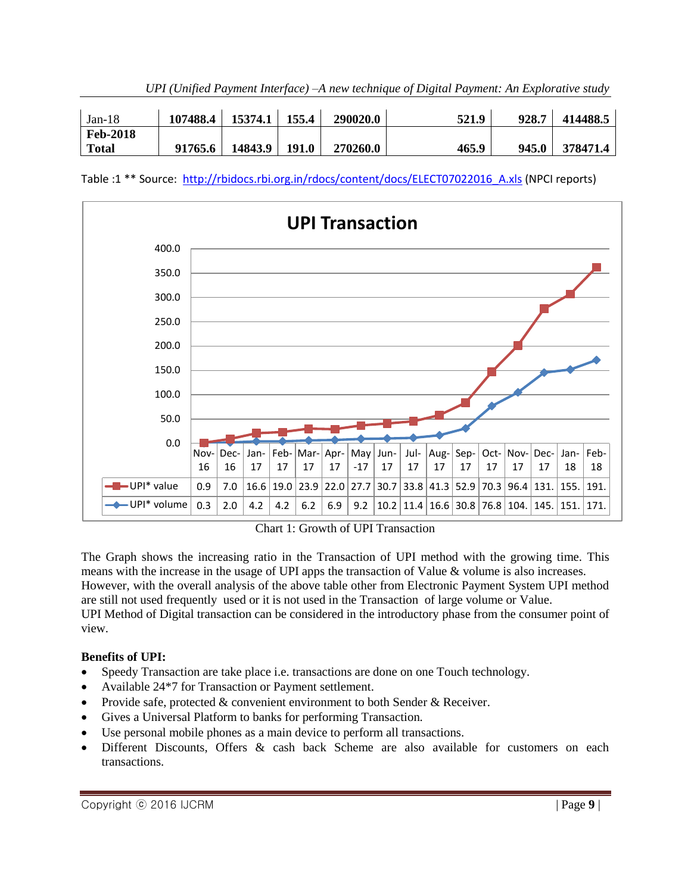| UPI (Unified Payment Interface) - A new technique of Digital Payment: An Explorative study |  |  |  |
|--------------------------------------------------------------------------------------------|--|--|--|
|                                                                                            |  |  |  |

| $Jan-18$        | 107488.4 | 15374.1 | 155.4 | 290020.0 | 521.9 | 928.7 | 414488.5 |
|-----------------|----------|---------|-------|----------|-------|-------|----------|
| <b>Feb-2018</b> |          |         |       |          |       |       |          |
| <b>Total</b>    | 91765.6  | 14843.9 | 191.0 | 270260.0 | 465.9 | 945.0 | 378471.4 |

Table :1 \*\* Source: http://rbidocs.rbi.org.in/rdocs/content/docs/ELECT07022016 A.xls (NPCI reports)



Chart 1: Growth of UPI Transaction

The Graph shows the increasing ratio in the Transaction of UPI method with the growing time. This means with the increase in the usage of UPI apps the transaction of Value & volume is also increases. However, with the overall analysis of the above table other from Electronic Payment System UPI method are still not used frequently used or it is not used in the Transaction of large volume or Value. UPI Method of Digital transaction can be considered in the introductory phase from the consumer point of view.

# **Benefits of UPI:**

- Speedy Transaction are take place i.e. transactions are done on one Touch technology.
- Available 24\*7 for Transaction or Payment settlement.
- Provide safe, protected  $&$  convenient environment to both Sender  $&$  Receiver.
- Gives a Universal Platform to banks for performing Transaction.
- Use personal mobile phones as a main device to perform all transactions.
- Different Discounts, Offers & cash back Scheme are also available for customers on each transactions.